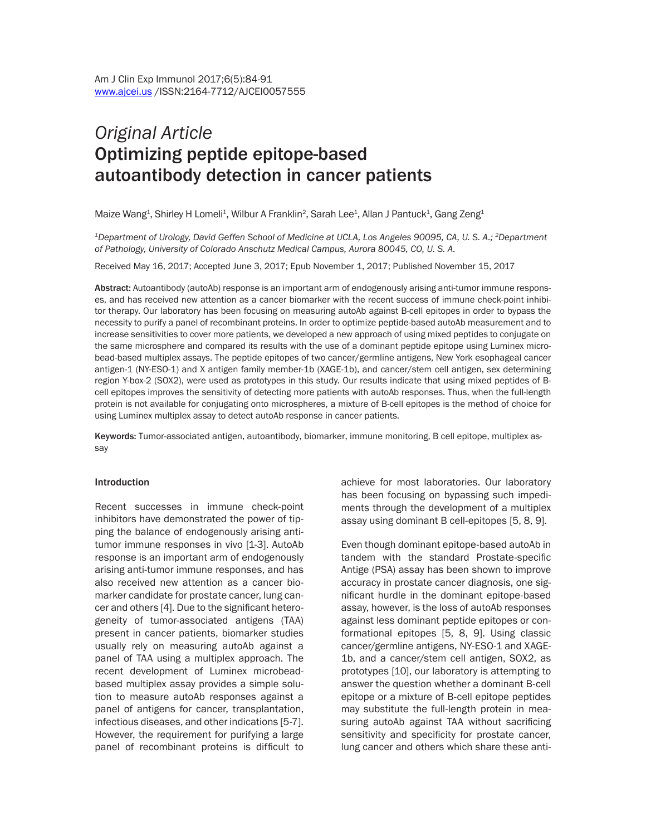# *Original Article* Optimizing peptide epitope-based autoantibody detection in cancer patients

Maize Wang<sup>1</sup>, Shirley H Lomeli<sup>1</sup>, Wilbur A Franklin<sup>2</sup>, Sarah Lee<sup>1</sup>, Allan J Pantuck<sup>1</sup>, Gang Zeng<sup>1</sup>

*1Department of Urology, David Geffen School of Medicine at UCLA, Los Angeles 90095, CA, U. S. A.; 2Department of Pathology, University of Colorado Anschutz Medical Campus, Aurora 80045, CO, U. S. A.*

Received May 16, 2017; Accepted June 3, 2017; Epub November 1, 2017; Published November 15, 2017

Abstract: Autoantibody (autoAb) response is an important arm of endogenously arising anti-tumor immune responses, and has received new attention as a cancer biomarker with the recent success of immune check-point inhibitor therapy. Our laboratory has been focusing on measuring autoAb against B-cell epitopes in order to bypass the necessity to purify a panel of recombinant proteins. In order to optimize peptide-based autoAb measurement and to increase sensitivities to cover more patients, we developed a new approach of using mixed peptides to conjugate on the same microsphere and compared its results with the use of a dominant peptide epitope using Luminex microbead-based multiplex assays. The peptide epitopes of two cancer/germline antigens, New York esophageal cancer antigen-1 (NY-ESO-1) and X antigen family member-1b (XAGE-1b), and cancer/stem cell antigen, sex determining region Y-box-2 (SOX2), were used as prototypes in this study. Our results indicate that using mixed peptides of Bcell epitopes improves the sensitivity of detecting more patients with autoAb responses. Thus, when the full-length protein is not available for conjugating onto microspheres, a mixture of B-cell epitopes is the method of choice for using Luminex multiplex assay to detect autoAb response in cancer patients.

Keywords: Tumor-associated antigen, autoantibody, biomarker, immune monitoring, B cell epitope, multiplex assay

#### Introduction

Recent successes in immune check-point inhibitors have demonstrated the power of tipping the balance of endogenously arising antitumor immune responses in vivo [1-3]. AutoAb response is an important arm of endogenously arising anti-tumor immune responses, and has also received new attention as a cancer biomarker candidate for prostate cancer, lung cancer and others [4]. Due to the significant heterogeneity of tumor-associated antigens (TAA) present in cancer patients, biomarker studies usually rely on measuring autoAb against a panel of TAA using a multiplex approach. The recent development of Luminex microbeadbased multiplex assay provides a simple solution to measure autoAb responses against a panel of antigens for cancer, transplantation, infectious diseases, and other indications [5-7]. However, the requirement for purifying a large panel of recombinant proteins is difficult to achieve for most laboratories. Our laboratory has been focusing on bypassing such impediments through the development of a multiplex assay using dominant B cell-epitopes [5, 8, 9].

Even though dominant epitope-based autoAb in tandem with the standard Prostate-specific Antige (PSA) assay has been shown to improve accuracy in prostate cancer diagnosis, one significant hurdle in the dominant epitope-based assay, however, is the loss of autoAb responses against less dominant peptide epitopes or conformational epitopes [5, 8, 9]. Using classic cancer/germline antigens, NY-ESO-1 and XAGE-1b, and a cancer/stem cell antigen, SOX2, as prototypes [10], our laboratory is attempting to answer the question whether a dominant B-cell epitope or a mixture of B-cell epitope peptides may substitute the full-length protein in measuring autoAb against TAA without sacrificing sensitivity and specificity for prostate cancer, lung cancer and others which share these anti-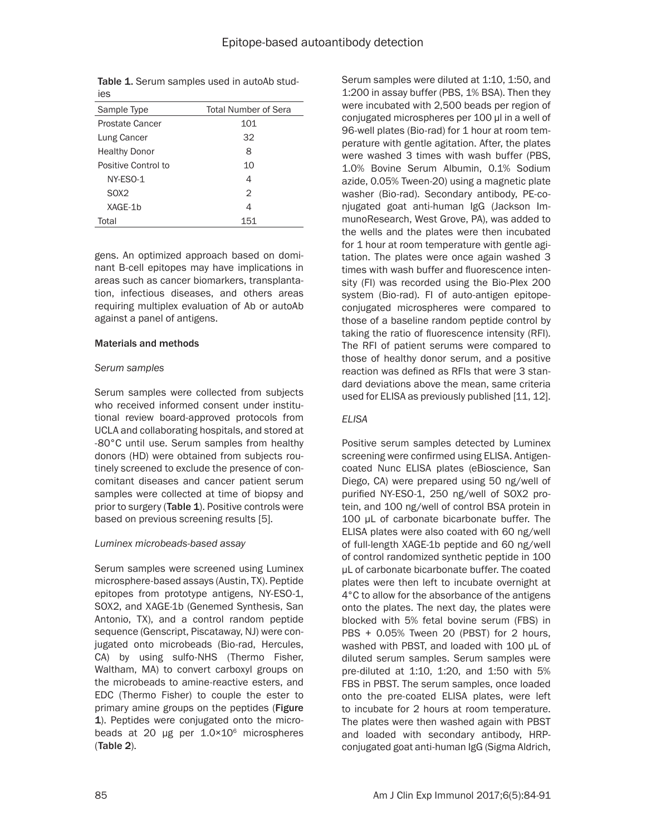| Table 1. Serum samples used in autoAb stud- |  |  |  |
|---------------------------------------------|--|--|--|
| ies                                         |  |  |  |

| Sample Type            | <b>Total Number of Sera</b> |
|------------------------|-----------------------------|
| <b>Prostate Cancer</b> | 101                         |
| Lung Cancer            | 32                          |
| <b>Healthy Donor</b>   | 8                           |
| Positive Control to    | 10                          |
| NY-ESO-1               | 4                           |
| SOX <sub>2</sub>       | 2                           |
| XAGE-1b                | 4                           |
| Total                  | 151                         |

gens. An optimized approach based on dominant B-cell epitopes may have implications in areas such as cancer biomarkers, transplantation, infectious diseases, and others areas requiring multiplex evaluation of Ab or autoAb against a panel of antigens.

#### Materials and methods

## *serum samples*

Serum samples were collected from subjects who received informed consent under institutional review board-approved protocols from UCLA and collaborating hospitals, and stored at -80°C until use. Serum samples from healthy donors (HD) were obtained from subjects routinely screened to exclude the presence of concomitant diseases and cancer patient serum samples were collected at time of biopsy and prior to surgery (Table 1). Positive controls were based on previous screening results [5].

# *Luminex microbeads-based assay*

Serum samples were screened using Luminex microsphere-based assays (Austin, TX). Peptide epitopes from prototype antigens, NY-ESO-1, SOX2, and XAGE-1b (Genemed Synthesis, San Antonio, TX), and a control random peptide sequence (Genscript, Piscataway, NJ) were conjugated onto microbeads (Bio-rad, Hercules, CA) by using sulfo-NHS (Thermo Fisher, Waltham, MA) to convert carboxyl groups on the microbeads to amine-reactive esters, and EDC (Thermo Fisher) to couple the ester to primary amine groups on the peptides (Figure 1). Peptides were conjugated onto the microbeads at 20 µg per  $1.0 \times 10^6$  microspheres (Table 2).

Serum samples were diluted at 1:10, 1:50, and 1:200 in assay buffer (PBS, 1% BSA). Then they were incubated with 2,500 beads per region of conjugated microspheres per 100 μl in a well of 96-well plates (Bio-rad) for 1 hour at room temperature with gentle agitation. After, the plates were washed 3 times with wash buffer (PBS, 1.0% Bovine Serum Albumin, 0.1% Sodium azide, 0.05% Tween-20) using a magnetic plate washer (Bio-rad). Secondary antibody, PE-conjugated goat anti-human IgG (Jackson ImmunoResearch, West Grove, PA), was added to the wells and the plates were then incubated for 1 hour at room temperature with gentle agitation. The plates were once again washed 3 times with wash buffer and fluorescence intensity (FI) was recorded using the Bio-Plex 200 system (Bio-rad). FI of auto-antigen epitopeconjugated microspheres were compared to those of a baseline random peptide control by taking the ratio of fluorescence intensity (RFI). The RFI of patient serums were compared to those of healthy donor serum, and a positive reaction was defined as RFIs that were 3 standard deviations above the mean, same criteria used for ELISA as previously published [11, 12].

# *ELISA*

Positive serum samples detected by Luminex screening were confirmed using ELISA. Antigencoated Nunc ELISA plates (eBioscience, San Diego, CA) were prepared using 50 ng/well of purified NY-ESO-1, 250 ng/well of SOX2 protein, and 100 ng/well of control BSA protein in 100 µL of carbonate bicarbonate buffer. The ELISA plates were also coated with 60 ng/well of full-length XAGE-1b peptide and 60 ng/well of control randomized synthetic peptide in 100 µL of carbonate bicarbonate buffer. The coated plates were then left to incubate overnight at 4°C to allow for the absorbance of the antigens onto the plates. The next day, the plates were blocked with 5% fetal bovine serum (FBS) in PBS + 0.05% Tween 20 (PBST) for 2 hours, washed with PBST, and loaded with 100 µL of diluted serum samples. Serum samples were pre-diluted at 1:10, 1:20, and 1:50 with 5% FBS in PBST. The serum samples, once loaded onto the pre-coated ELISA plates, were left to incubate for 2 hours at room temperature. The plates were then washed again with PBST and loaded with secondary antibody, HRPconjugated goat anti-human IgG (Sigma Aldrich,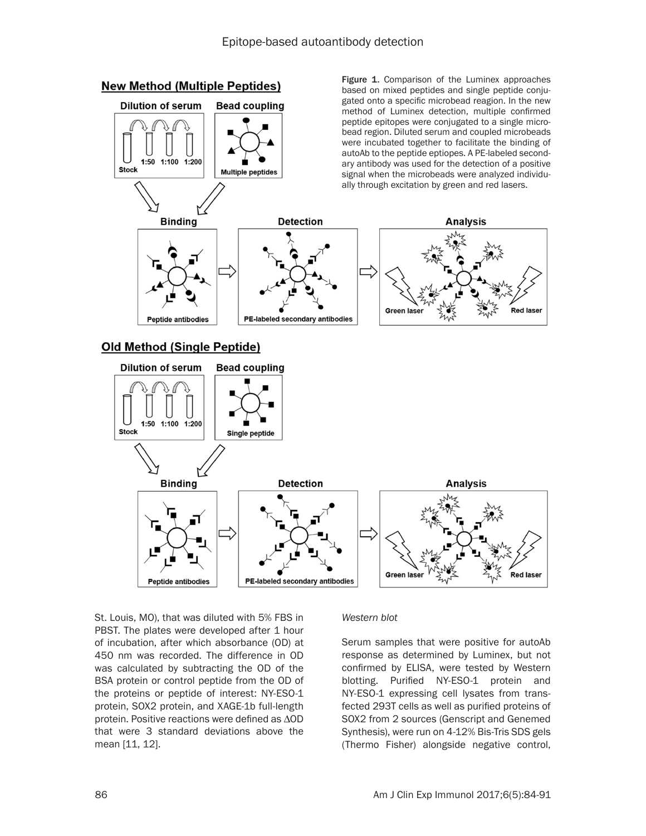

St. Louis, MO), that was diluted with 5% FBS in PBST. The plates were developed after 1 hour of incubation, after which absorbance (OD) at 450 nm was recorded. The difference in OD was calculated by subtracting the OD of the BSA protein or control peptide from the OD of the proteins or peptide of interest: NY-ESO-1 protein, SOX2 protein, and XAGE-1b full-length protein. Positive reactions were defined as ∆OD that were 3 standard deviations above the mean [11, 12].

#### *Western blot*

Serum samples that were positive for autoAb response as determined by Luminex, but not confirmed by ELISA, were tested by Western blotting. Purified NY-ESO-1 protein and NY-ESO-1 expressing cell lysates from transfected 293T cells as well as purified proteins of SOX2 from 2 sources (Genscript and Genemed Synthesis), were run on 4-12% Bis-Tris SDS gels (Thermo Fisher) alongside negative control,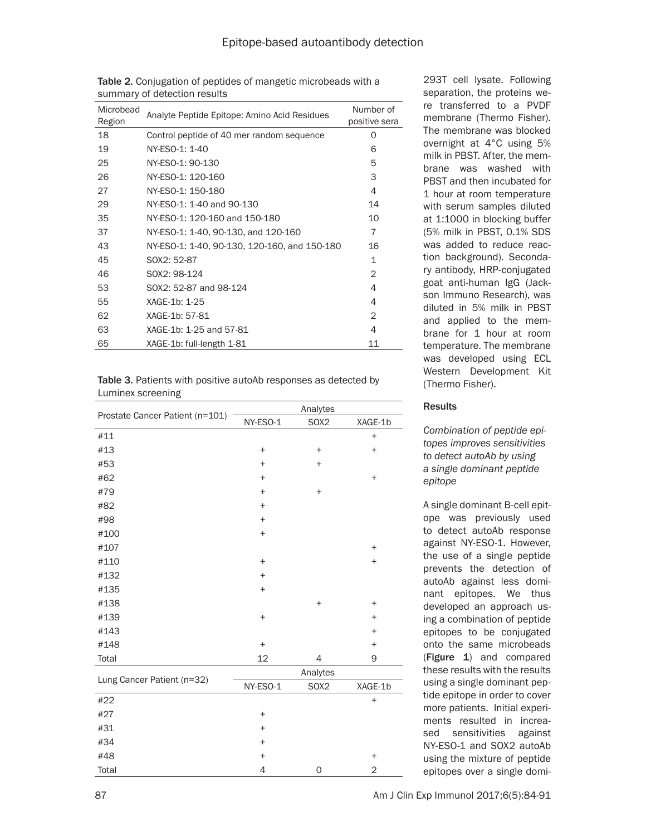| Microbead<br>Region | Analyte Peptide Epitope: Amino Acid Residues | Number of<br>positive sera |
|---------------------|----------------------------------------------|----------------------------|
| 18                  | Control peptide of 40 mer random sequence    | O                          |
| 19                  | NY-ESO-1: 1-40                               | 6                          |
| 25                  | NY-ESO-1: 90-130                             | 5                          |
| 26                  | NY-ESO-1: 120-160                            | 3                          |
| 27                  | NY-ESO-1: 150-180                            | 4                          |
| 29                  | NY-ESO-1: 1-40 and 90-130                    | 14                         |
| 35                  | NY-ESO-1: 120-160 and 150-180                | 10                         |
| 37                  | NY-ESO-1: 1-40, 90-130, and 120-160          | 7                          |
| 43                  | NY-ESO-1: 1-40, 90-130, 120-160, and 150-180 | 16                         |
| 45                  | SOX2: 52-87                                  | $\mathbf 1$                |
| 46                  | SOX2: 98-124                                 | $\overline{2}$             |
| 53                  | SOX2: 52-87 and 98-124                       | 4                          |
| 55                  | XAGE-1b: 1-25                                | 4                          |
| 62                  | XAGE-1b: 57-81                               | 2                          |
| 63                  | XAGE-1b: 1-25 and 57-81                      | 4                          |
| 65                  | XAGE-1b: full-length 1-81                    | 11                         |

Table 2. Conjugation of peptides of mangetic microbeads with a summary of detection results

Table 3. Patients with positive autoAb responses as detected by Luminex screening

|                                 | Analytes                         |           |           |  |
|---------------------------------|----------------------------------|-----------|-----------|--|
| Prostate Cancer Patient (n=101) | NY-ESO-1                         | SOX2      | XAGE-1b   |  |
| #11                             |                                  |           | $\ddot{}$ |  |
| #13                             | $\ddot{}$                        | $\ddot{}$ | $\ddot{}$ |  |
| #53                             | $\ddot{}$                        | $\ddot{}$ |           |  |
| #62                             | $\ddot{}$                        |           | $\ddot{}$ |  |
| #79                             | $+$                              | $\ddot{}$ |           |  |
| #82                             | $\ddot{}$                        |           |           |  |
| #98                             | $+$                              |           |           |  |
| #100                            | $\begin{array}{c} + \end{array}$ |           |           |  |
| #107                            |                                  |           | $\ddot{}$ |  |
| #110                            | $+$                              |           | $\ddot{}$ |  |
| #132                            | $\begin{array}{c} + \end{array}$ |           |           |  |
| #135                            | $+$                              |           |           |  |
| #138                            |                                  | $\ddot{}$ | $\ddot{}$ |  |
| #139                            | $\ddot{}$                        |           | $\ddot{}$ |  |
| #143                            |                                  |           | $+$       |  |
| #148                            | $\boldsymbol{+}$                 |           | $\ddot{}$ |  |
| Total                           | 12                               | 4         | 9         |  |
| Lung Cancer Patient (n=32)      |                                  | Analytes  |           |  |
|                                 | NY-ESO-1                         | SOX2      | XAGE-1b   |  |
| #22                             |                                  |           | $\ddot{}$ |  |
| #27                             | $\begin{array}{c} + \end{array}$ |           |           |  |
| #31                             | $\ddot{}$                        |           |           |  |
| #34                             | $+$                              |           |           |  |
| #48                             | $\ddot{}$                        |           | $\ddot{}$ |  |
| Total                           | 4                                | 0         | 2         |  |

293T cell lysate. Following separation, the proteins were transferred to a PVDF membrane (Thermo Fisher). The membrane was blocked overnight at 4°C using 5% milk in PBST. After, the membrane was washed with PBST and then incubated for 1 hour at room temperature with serum samples diluted at 1:1000 in blocking buffer (5% milk in PBST, 0.1% SDS was added to reduce reaction background). Secondary antibody, HRP-conjugated goat anti-human IgG (Jackson Immuno Research), was diluted in 5% milk in PBST and applied to the membrane for 1 hour at room temperature. The membrane was developed using ECL Western Development Kit (Thermo Fisher).

# **Results**

*Combination of peptide epitopes improves sensitivities to detect autoAb by using a single dominant peptide epitope*

A single dominant B-cell epitope was previously used to detect autoAb response against NY-ESO-1. However, the use of a single peptide prevents the detection of autoAb against less dominant epitopes. We thus developed an approach using a combination of peptide epitopes to be conjugated onto the same microbeads (Figure 1) and compared these results with the results using a single dominant peptide epitope in order to cover more patients. Initial experiments resulted in increased sensitivities against NY-ESO-1 and SOX2 autoAb using the mixture of peptide epitopes over a single domi-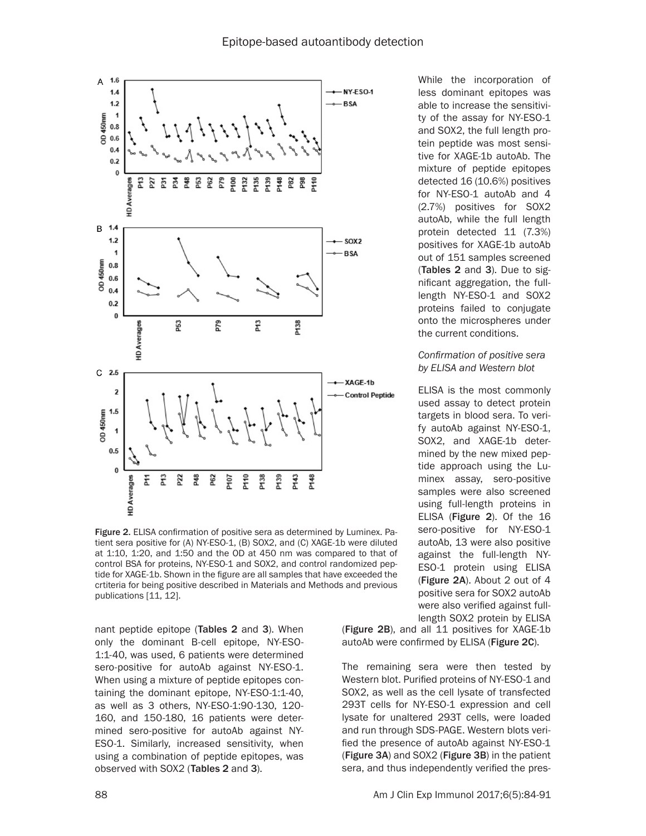

Figure 2. ELISA confirmation of positive sera as determined by Luminex. Patient sera positive for (A) NY-ESO-1, (B) SOX2, and (C) XAGE-1b were diluted at 1:10, 1:20, and 1:50 and the OD at 450 nm was compared to that of control BSA for proteins, NY-ESO-1 and SOX2, and control randomized peptide for XAGE-1b. Shown in the figure are all samples that have exceeded the crtiteria for being positive described in Materials and Methods and previous publications [11, 12].

nant peptide epitope (Tables 2 and 3). When only the dominant B-cell epitope, NY-ESO-1:1-40, was used, 6 patients were determined sero-positive for autoAb against NY-ESO-1. When using a mixture of peptide epitopes containing the dominant epitope, NY-ESO-1:1-40, as well as 3 others, NY-ESO-1:90-130, 120- 160, and 150-180, 16 patients were determined sero-positive for autoAb against NY-ESO-1. Similarly, increased sensitivity, when using a combination of peptide epitopes, was observed with SOX2 (Tables 2 and 3).

While the incorporation of less dominant epitopes was able to increase the sensitivity of the assay for NY-ESO-1 and SOX2, the full length protein peptide was most sensitive for XAGE-1b autoAb. The mixture of peptide epitopes detected 16 (10.6%) positives for NY-ESO-1 autoAb and 4 (2.7%) positives for SOX2 autoAb, while the full length protein detected 11 (7.3%) positives for XAGE-1b autoAb out of 151 samples screened (Tables 2 and 3). Due to significant aggregation, the fulllength NY-ESO-1 and SOX2 proteins failed to conjugate onto the microspheres under the current conditions.

#### *Confirmation of positive sera by ELISA and Western blot*

ELISA is the most commonly used assay to detect protein targets in blood sera. To verify autoAb against NY-ESO-1, SOX2, and XAGE-1b determined by the new mixed peptide approach using the Luminex assay, sero-positive samples were also screened using full-length proteins in ELISA (Figure 2). Of the 16 sero-positive for NY-ESO-1 autoAb, 13 were also positive against the full-length NY-ESO-1 protein using ELISA (Figure 2A). About 2 out of 4 positive sera for SOX2 autoAb were also verified against fulllength SOX2 protein by ELISA

(Figure 2B), and all 11 positives for XAGE-1b autoAb were confirmed by ELISA (Figure 2C).

The remaining sera were then tested by Western blot. Purified proteins of NY-ESO-1 and SOX2, as well as the cell lysate of transfected 293T cells for NY-ESO-1 expression and cell lysate for unaltered 293T cells, were loaded and run through SDS-PAGE. Western blots verified the presence of autoAb against NY-ESO-1 (Figure 3A) and SOX2 (Figure 3B) in the patient sera, and thus independently verified the pres-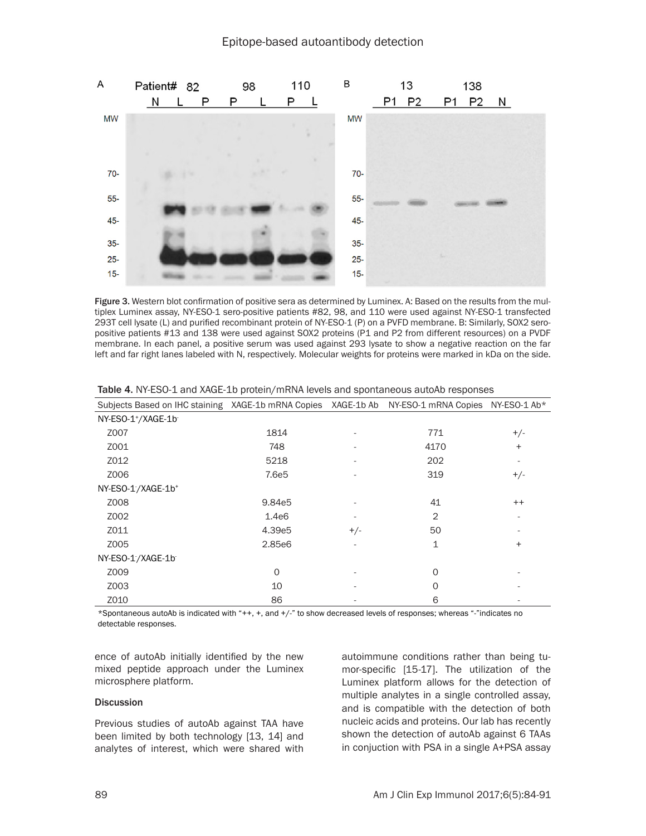

Figure 3. Western blot confirmation of positive sera as determined by Luminex. A: Based on the results from the multiplex Luminex assay, NY-ESO-1 sero-positive patients #82, 98, and 110 were used against NY-ESO-1 transfected 293T cell lysate (L) and purified recombinant protein of NY-ESO-1 (P) on a PVFD membrane. B: Similarly, SOX2 seropositive patients #13 and 138 were used against SOX2 proteins (P1 and P2 from different resources) on a PVDF membrane. In each panel, a positive serum was used against 293 lysate to show a negative reaction on the far left and far right lanes labeled with N, respectively. Molecular weights for proteins were marked in kDa on the side.

| Subjects Based on IHC staining XAGE-1b mRNA Copies XAGE-1b Ab NY-ESO-1 mRNA Copies NY-ESO-1 Ab* |                   |       |                |                          |
|-------------------------------------------------------------------------------------------------|-------------------|-------|----------------|--------------------------|
| NY-ESO-1 <sup>+</sup> /XAGE-1b                                                                  |                   |       |                |                          |
| Z007                                                                                            | 1814              |       | 771            | $+/-$                    |
| Z001                                                                                            | 748               |       | 4170           | $\ddot{}$                |
| Z012                                                                                            | 5218              |       | 202            | $\overline{\phantom{a}}$ |
| Z006                                                                                            | 7.6e <sub>5</sub> |       | 319            | $+/-$                    |
| NY-ESO-1/XAGE-1b+                                                                               |                   |       |                |                          |
| Z008                                                                                            | 9.84e5            |       | 41             | $^{++}$                  |
| Z002                                                                                            | 1.4e6             |       | $\overline{2}$ |                          |
| Z011                                                                                            | 4.39e5            | $+/-$ | 50             |                          |
| Z005                                                                                            | 2.85e6            |       | 1              | $\ddot{}$                |
| NY-ESO-1/XAGE-1b                                                                                |                   |       |                |                          |
| Z009                                                                                            | $\Omega$          |       | $\Omega$       |                          |
| Z003                                                                                            | 10                |       | 0              |                          |
| Z010                                                                                            | 86                |       | 6              |                          |

Table 4. NY-ESO-1 and XAGE-1b protein/mRNA levels and spontaneous autoAb responses

\*Spontaneous autoAb is indicated with "++, +, and +/-" to show decreased levels of responses; whereas "-"indicates no detectable responses.

ence of autoAb initially identified by the new mixed peptide approach under the Luminex microsphere platform.

#### **Discussion**

Previous studies of autoAb against TAA have been limited by both technology [13, 14] and analytes of interest, which were shared with autoimmune conditions rather than being tumor-specific [15-17]. The utilization of the Luminex platform allows for the detection of multiple analytes in a single controlled assay, and is compatible with the detection of both nucleic acids and proteins. Our lab has recently shown the detection of autoAb against 6 TAAs in conjuction with PSA in a single A+PSA assay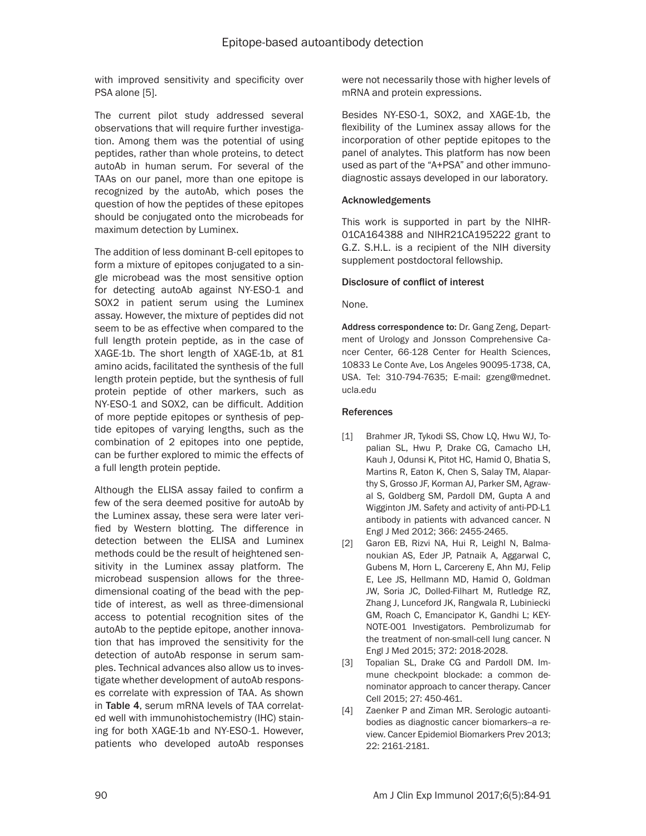with improved sensitivity and specificity over PSA alone [5].

The current pilot study addressed several observations that will require further investigation. Among them was the potential of using peptides, rather than whole proteins, to detect autoAb in human serum. For several of the TAAs on our panel, more than one epitope is recognized by the autoAb, which poses the question of how the peptides of these epitopes should be conjugated onto the microbeads for maximum detection by Luminex.

The addition of less dominant B-cell epitopes to form a mixture of epitopes conjugated to a single microbead was the most sensitive option for detecting autoAb against NY-ESO-1 and SOX2 in patient serum using the Luminex assay. However, the mixture of peptides did not seem to be as effective when compared to the full length protein peptide, as in the case of XAGE-1b. The short length of XAGE-1b, at 81 amino acids, facilitated the synthesis of the full length protein peptide, but the synthesis of full protein peptide of other markers, such as NY-ESO-1 and SOX2, can be difficult. Addition of more peptide epitopes or synthesis of peptide epitopes of varying lengths, such as the combination of 2 epitopes into one peptide, can be further explored to mimic the effects of a full length protein peptide.

Although the ELISA assay failed to confirm a few of the sera deemed positive for autoAb by the Luminex assay, these sera were later verified by Western blotting. The difference in detection between the ELISA and Luminex methods could be the result of heightened sensitivity in the Luminex assay platform. The microbead suspension allows for the threedimensional coating of the bead with the peptide of interest, as well as three-dimensional access to potential recognition sites of the autoAb to the peptide epitope, another innovation that has improved the sensitivity for the detection of autoAb response in serum samples. Technical advances also allow us to investigate whether development of autoAb responses correlate with expression of TAA. As shown in Table 4, serum mRNA levels of TAA correlated well with immunohistochemistry (IHC) staining for both XAGE-1b and NY-ESO-1. However, patients who developed autoAb responses

were not necessarily those with higher levels of mRNA and protein expressions.

Besides NY-ESO-1, SOX2, and XAGE-1b, the flexibility of the Luminex assay allows for the incorporation of other peptide epitopes to the panel of analytes. This platform has now been used as part of the "A+PSA" and other immunodiagnostic assays developed in our laboratory.

## Acknowledgements

This work is supported in part by the NIHR-01CA164388 and NIHR21CA195222 grant to G.Z. S.H.L. is a recipient of the NIH diversity supplement postdoctoral fellowship.

## Disclosure of conflict of interest

None.

Address correspondence to: Dr. Gang Zeng, Department of Urology and Jonsson Comprehensive Cancer Center, 66-128 Center for Health Sciences, 10833 Le Conte Ave, Los Angeles 90095-1738, CA, USA. Tel: 310-794-7635; E-mail: [gzeng@mednet.](mailto:gzeng@mednet.ucla.edu) [ucla.edu](mailto:gzeng@mednet.ucla.edu)

#### References

- [1] Brahmer JR, Tykodi SS, Chow LQ, Hwu WJ, Topalian SL, Hwu P, Drake CG, Camacho LH, Kauh J, Odunsi K, Pitot HC, Hamid O, Bhatia S, Martins R, Eaton K, Chen S, Salay TM, Alaparthy S, Grosso JF, Korman AJ, Parker SM, Agrawal S, Goldberg SM, Pardoll DM, Gupta A and Wigginton JM. Safety and activity of anti-PD-L1 antibody in patients with advanced cancer. N Engl J Med 2012; 366: 2455-2465.
- [2] Garon EB, Rizvi NA, Hui R, Leighl N, Balmanoukian AS, Eder JP, Patnaik A, Aggarwal C, Gubens M, Horn L, Carcereny E, Ahn MJ, Felip E, Lee JS, Hellmann MD, Hamid O, Goldman JW, Soria JC, Dolled-Filhart M, Rutledge RZ, Zhang J, Lunceford JK, Rangwala R, Lubiniecki GM, Roach C, Emancipator K, Gandhi L; KEY-NOTE-001 Investigators. Pembrolizumab for the treatment of non-small-cell lung cancer. N Engl J Med 2015; 372: 2018-2028.
- [3] Topalian SL, Drake CG and Pardoll DM. Immune checkpoint blockade: a common denominator approach to cancer therapy. Cancer Cell 2015; 27: 450-461.
- [4] Zaenker P and Ziman MR. Serologic autoantibodies as diagnostic cancer biomarkers--a review. Cancer Epidemiol Biomarkers Prev 2013; 22: 2161-2181.